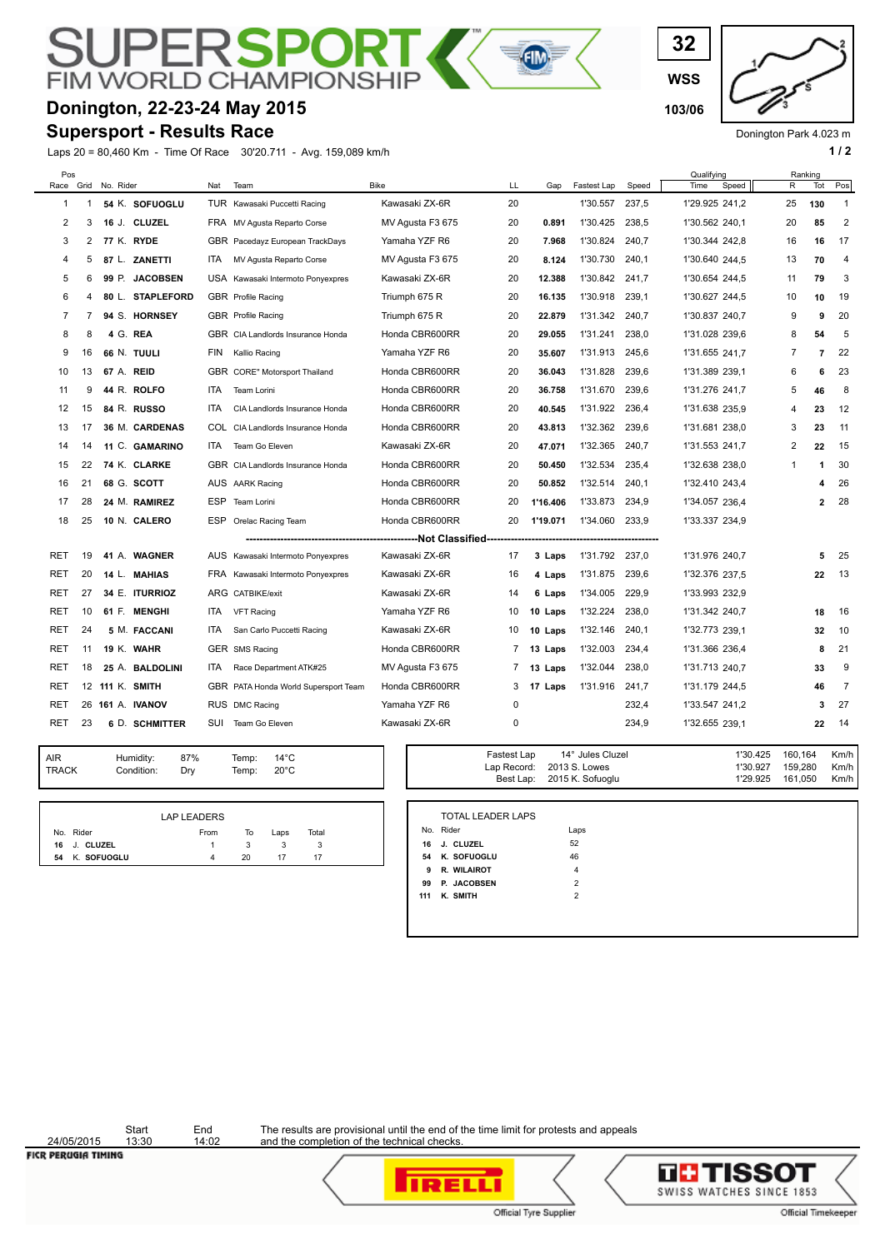## PЕ RSPO **FIM WORLD CHAMPIONS**

# **Donington, 22-23-24 May 2015 103/06**

### **Supersport - Results Race**

Laps 20 = 80,460 Km - Time Of Race 30'20.711 - Avg. 159,089 km/h **1 / 2**

**WSS 32**

Donington Park 4.023 m

Km/h  $Km/h$ 

| Pos<br>Race Grid |             | No. Rider        | Nat  | Team                                 | <b>Bike</b>      | LL | Gap      | Fastest Lap    | Speed | Qualifying<br>Time<br>Speed | R              | Ranking<br>Tot | Pos            |
|------------------|-------------|------------------|------|--------------------------------------|------------------|----|----------|----------------|-------|-----------------------------|----------------|----------------|----------------|
| 1                | $\mathbf 1$ | 54 K. SOFUOGLU   |      | TUR Kawasaki Puccetti Racing         | Kawasaki ZX-6R   | 20 |          | 1'30.557       | 237,5 | 1'29.925 241,2              | 25             | 130            | $\mathbf{1}$   |
| 2                | 3           | 16 J. CLUZEL     |      | FRA MV Agusta Reparto Corse          | MV Agusta F3 675 | 20 | 0.891    | 1'30.425       | 238,5 | 1'30.562 240,1              | 20             | 85             | $\overline{2}$ |
| 3                | 2           | 77 K. RYDE       |      | GBR Pacedayz European TrackDays      | Yamaha YZF R6    | 20 | 7.968    | 1'30.824       | 240,7 | 1'30.344 242,8              | 16             | 16             | 17             |
| 4                | 5           | 87 L. ZANETTI    | ITA. | MV Agusta Reparto Corse              | MV Agusta F3 675 | 20 | 8.124    | 1'30.730       | 240,1 | 1'30.640 244,5              | 13             | 70             | $\overline{4}$ |
| 5                | 6           | 99 P. JACOBSEN   |      | USA Kawasaki Intermoto Ponyexpres    | Kawasaki ZX-6R   | 20 | 12.388   | 1'30.842       | 241.7 | 1'30.654 244,5              | 11             | 79             | 3              |
| 6                | 4           | 80 L. STAPLEFORD |      | GBR Profile Racing                   | Triumph 675 R    | 20 | 16.135   | 1'30.918       | 239,1 | 1'30.627 244.5              | 10             | 10             | 19             |
| 7                | 7           | 94 S. HORNSEY    |      | GBR Profile Racing                   | Triumph 675 R    | 20 | 22.879   | 1'31.342       | 240.7 | 1'30.837 240.7              | 9              | 9              | 20             |
| 8                | 8           | 4 G. REA         |      | GBR CIA Landlords Insurance Honda    | Honda CBR600RR   | 20 | 29.055   | 1'31.241       | 238,0 | 1'31.028 239.6              | 8              | 54             | 5              |
| 9                | 16          | 66 N. TUULI      | FIN  | Kallio Racing                        | Yamaha YZF R6    | 20 | 35.607   | 1'31.913       | 245,6 | 1'31.655 241,7              | $\overline{7}$ | $\overline{7}$ | 22             |
| 10               | 13          | 67 A. REID       |      | GBR CORE" Motorsport Thailand        | Honda CBR600RR   | 20 | 36.043   | 1'31.828       | 239,6 | 1'31.389 239,1              | 6              | 6              | 23             |
| 11               | 9           | 44 R. ROLFO      | ITA  | Team Lorini                          | Honda CBR600RR   | 20 | 36.758   | 1'31.670       | 239,6 | 1'31.276 241,7              | 5              | 46             | 8              |
| 12               | 15          | 84 R. RUSSO      | ITA  | CIA Landlords Insurance Honda        | Honda CBR600RR   | 20 | 40.545   | 1'31.922       | 236,4 | 1'31.638 235,9              | 4              | 23             | 12             |
| 13               | 17          | 36 M. CARDENAS   |      | COL CIA Landlords Insurance Honda    | Honda CBR600RR   | 20 | 43.813   | 1'32.362       | 239,6 | 1'31.681 238,0              | 3              | 23             | 11             |
| 14               | 14          | 11 C. GAMARINO   | ITA. | Team Go Eleven                       | Kawasaki ZX-6R   | 20 | 47.071   | 1'32.365       | 240.7 | 1'31.553 241.7              | 2              | 22             | 15             |
| 15               | 22          | 74 K. CLARKE     |      | GBR CIA Landlords Insurance Honda    | Honda CBR600RR   | 20 | 50.450   | 1'32.534       | 235.4 | 1'32.638 238,0              | $\mathbf{1}$   | 1              | 30             |
| 16               | 21          | 68 G. SCOTT      |      | AUS AARK Racing                      | Honda CBR600RR   | 20 | 50.852   | 1'32.514       | 240,1 | 1'32.410 243,4              |                | 4              | 26             |
| 17               | 28          | 24 M. RAMIREZ    |      | ESP Team Lorini                      | Honda CBR600RR   | 20 | 1'16.406 | 1'33.873       | 234,9 | 1'34.057 236,4              |                | 2              | 28             |
| 18               | 25          | 10 N. CALERO     |      | ESP Orelac Racing Team               | Honda CBR600RR   | 20 | 1'19.071 | 1'34.060       | 233,9 | 1'33.337 234,9              |                |                |                |
|                  |             |                  |      |                                      |                  |    |          |                |       |                             |                |                |                |
| RET              | 19          | 41 A. WAGNER     |      | AUS Kawasaki Intermoto Ponyexpres    | Kawasaki ZX-6R   | 17 | 3 Laps   | 1'31.792 237,0 |       | 1'31.976 240,7              |                | 5              | 25             |
| <b>RET</b>       | 20          | 14 L. MAHIAS     |      | FRA Kawasaki Intermoto Ponyexpres    | Kawasaki ZX-6R   | 16 | 4 Laps   | 1'31.875       | 239,6 | 1'32.376 237,5              |                | 22             | -13            |
| RET              | 27          | 34 E. ITURRIOZ   |      | ARG CATBIKE/exit                     | Kawasaki ZX-6R   | 14 | 6 Laps   | 1'34.005       | 229,9 | 1'33.993 232,9              |                |                |                |
| <b>RET</b>       | 10          | 61 F. MENGHI     | ITA. | <b>VFT Racing</b>                    | Yamaha YZF R6    | 10 | 10 Laps  | 1'32.224       | 238,0 | 1'31.342 240.7              |                | 18             | 16             |
| RET              | 24          | 5 M. FACCANI     | ITA. | San Carlo Puccetti Racing            | Kawasaki ZX-6R   | 10 | 10 Laps  | 1'32.146       | 240.1 | 1'32.773 239,1              |                | 32             | 10             |
| RET              | 11          | 19 K. WAHR       |      | GER SMS Racing                       | Honda CBR600RR   | 7  | 13 Laps  | 1'32.003       | 234.4 | 1'31.366 236.4              |                | 8              | 21             |
| RET              | 18          | 25 A. BALDOLINI  | ITA. | Race Department ATK#25               | MV Agusta F3 675 | 7  | 13 Laps  | 1'32.044       | 238.0 | 1'31.713 240,7              |                | 33             | 9              |
| <b>RET</b>       |             | 12 111 K. SMITH  |      | GBR PATA Honda World Supersport Team | Honda CBR600RR   | 3  | 17 Laps  | 1'31.916       | 241,7 | 1'31.179 244,5              |                | 46             | $\overline{7}$ |
| RET              |             | 26 161 A. IVANOV |      | RUS DMC Racing                       | Yamaha YZF R6    | 0  |          |                | 232,4 | 1'33.547 241,2              |                | 3              | 27             |
| RET              | 23          | 6 D. SCHMITTER   |      | SUI Team Go Eleven                   | Kawasaki ZX-6R   | 0  |          |                | 234,9 | 1'32.655 239,1              |                | 22             | 14             |

 $\overline{\mathbf{H}}$ 

| <b>TOTAL LEADER LAPS</b><br><b>LAP LEADERS</b><br>No. Rider<br>Laps<br>No. Rider<br>Total<br>From<br>To<br>Laps<br>52<br><b>J. CLUZEL</b><br>16<br>16 J. CLUZEL<br>46<br>K. SOFUOGLU<br>54<br>K. SOFUOGLU<br>17<br>20<br>54<br>4 | <b>AIR</b><br><b>TRACK</b> | Humidity:<br>Condition: | 87%<br>Dry | Temp:<br>Temp: | $14^{\circ}$ C<br>$20^{\circ}$ C |  | Fasiesi Lap<br>Lap Record:<br>Best Lap: | 14 JUIES UILLEI<br>2013 S. Lowes<br>2015 K. Sofuoglu | 1 JU.425<br>1'30.927<br>1'29.925 | 100.104<br>159,280<br>161,050 |
|----------------------------------------------------------------------------------------------------------------------------------------------------------------------------------------------------------------------------------|----------------------------|-------------------------|------------|----------------|----------------------------------|--|-----------------------------------------|------------------------------------------------------|----------------------------------|-------------------------------|
|                                                                                                                                                                                                                                  |                            |                         |            |                |                                  |  |                                         |                                                      |                                  |                               |
|                                                                                                                                                                                                                                  |                            |                         |            |                |                                  |  |                                         |                                                      |                                  |                               |
|                                                                                                                                                                                                                                  |                            |                         |            |                |                                  |  |                                         |                                                      |                                  |                               |
|                                                                                                                                                                                                                                  |                            |                         |            |                |                                  |  |                                         |                                                      |                                  |                               |

|     | <b>TOTAL LEADER LAPS</b> |                |  |  |
|-----|--------------------------|----------------|--|--|
|     | No. Rider                | Laps           |  |  |
| 16  | J. CLUZEL                | 52             |  |  |
| 54  | K. SOFUOGLU              | 46             |  |  |
| 9   | R. WILAIROT              | $\overline{4}$ |  |  |
| 99  | P. JACOBSEN              | $\overline{2}$ |  |  |
| 111 | K. SMITH                 | $\overline{2}$ |  |  |

Fastest Lap 14° Jules Cluzel 1'30.425 160,164 Km/h

24/05/2015 **FICR PERUGIA TIMING** 

Start End<br>13:30 14:02

The results are provisional until the end of the time limit for protests and appeals and the completion of the technical checks.



**IRELLI** Official Tyre Supplier